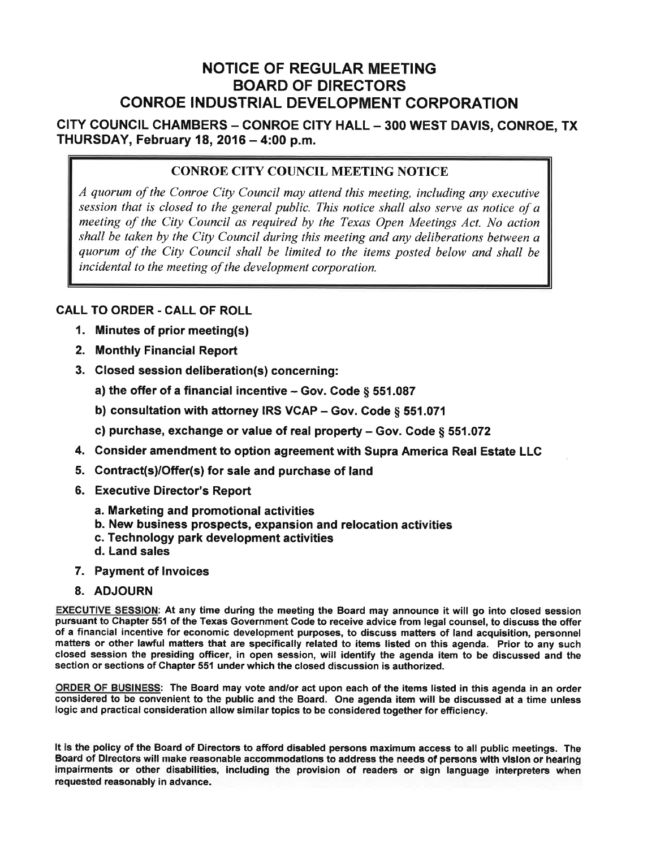# **NOTICE OF REGULAR MEETING BOARD OF DIRECTORS CONROE INDUSTRIAL DEVELOPMENT CORPORATION**

CITY COUNCIL CHAMBERS - CONROE CITY HALL - 300 WEST DAVIS, CONROE, TX THURSDAY, February 18, 2016 - 4:00 p.m.

### **CONROE CITY COUNCIL MEETING NOTICE**

A quorum of the Conroe City Council may attend this meeting, including any executive session that is closed to the general public. This notice shall also serve as notice of a meeting of the City Council as required by the Texas Open Meetings Act. No action shall be taken by the City Council during this meeting and any deliberations between a quorum of the City Council shall be limited to the items posted below and shall be incidental to the meeting of the development corporation.

#### **CALL TO ORDER - CALL OF ROLL**

- 1. Minutes of prior meeting(s)
- 2. Monthly Financial Report
- 3. Closed session deliberation(s) concerning:
	- a) the offer of a financial incentive  $-$  Gov. Code  $\&$  551.087
	- b) consultation with attorney IRS VCAP Gov. Code  $\S$  551.071
	- c) purchase, exchange or value of real property Gov. Code § 551.072
- 4. Consider amendment to option agreement with Supra America Real Estate LLC
- 5. Contract(s)/Offer(s) for sale and purchase of land
- 6. Executive Director's Report
	- a. Marketing and promotional activities
	- b. New business prospects, expansion and relocation activities
	- c. Technology park development activities
	- d. Land sales
- 7. Payment of Invoices
- 8. ADJOURN

EXECUTIVE SESSION: At any time during the meeting the Board may announce it will go into closed session pursuant to Chapter 551 of the Texas Government Code to receive advice from legal counsel, to discuss the offer of a financial incentive for economic development purposes, to discuss matters of land acquisition, personnel matters or other lawful matters that are specifically related to items listed on this agenda. Prior to any such closed session the presiding officer, in open session, will identify the agenda item to be discussed and the section or sections of Chapter 551 under which the closed discussion is authorized.

ORDER OF BUSINESS: The Board may vote and/or act upon each of the items listed in this agenda in an order considered to be convenient to the public and the Board. One agenda item will be discussed at a time unless logic and practical consideration allow similar topics to be considered together for efficiency.

It is the policy of the Board of Directors to afford disabled persons maximum access to all public meetings. The Board of Directors will make reasonable accommodations to address the needs of persons with vision or hearing impairments or other disabilities, including the provision of readers or sign language interpreters when requested reasonably in advance.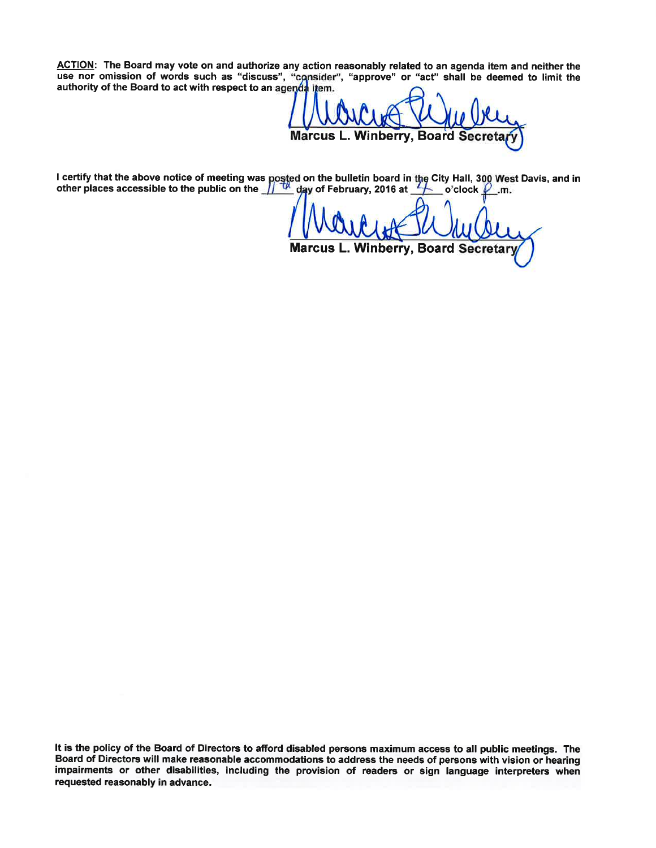ACTION: The Board may vote on and authorize any action reasonably related to an agenda item and neither the use nor omission of words such as "discuss", "consider", "approve" or "act" shall be deemed to limit the authority of the Board to act with respect to an agenda item.

**Marcus L. Winberry, Board Secreta** 

I certify that the above notice of meeting was posted on the builetin board in the City Hall, 300 West Davis, and in other places accessible to the public on the  $\frac{1}{\sqrt{2}}$  day of February, 2016 at  $\frac{1}{\sqrt{2}}$  o'clock

Marcus L. Winberry, Board Secretary

It is the policy of the Board of Directors to afford disabled persons maximum access to all public meetings. The Board of Directors will make reasonable accommodations to address the needs of persons with vision or hearing impairments or other disabilities, including the provision of readers or sign language interpreters when requested reasonably in advance.